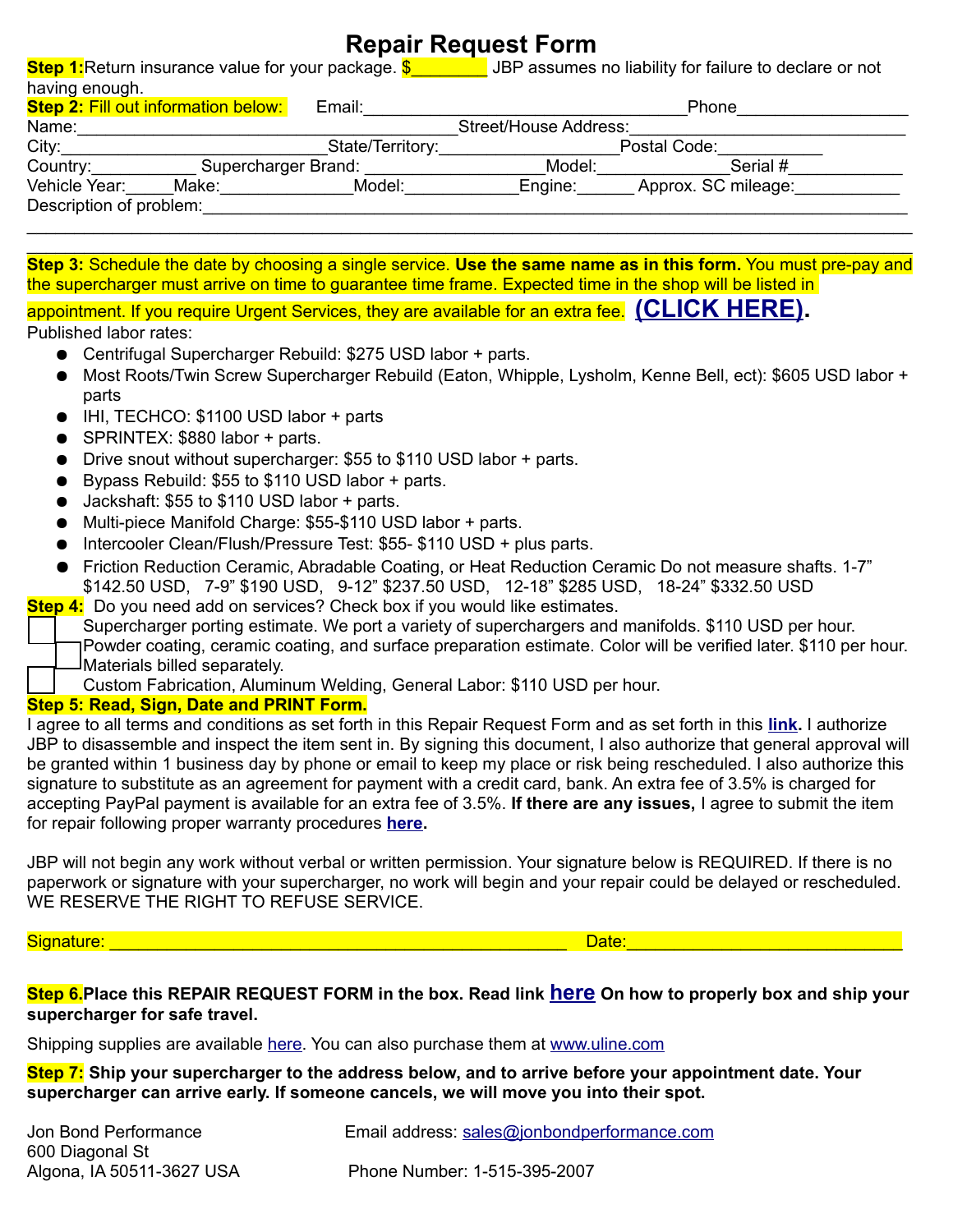# **Repair Request Form**

**Step 1:**Return insurance value for your package. **\$** \_\_\_\_\_\_ JBP assumes no liability for failure to declare or not having enough.

| <b>Step 2: Fill out information below:</b> |                     | Email: | Phone                 |                     |  |  |
|--------------------------------------------|---------------------|--------|-----------------------|---------------------|--|--|
| Name:                                      |                     |        | Street/House Address: |                     |  |  |
| City:                                      | State/Territory:    |        | Postal Code:          |                     |  |  |
| Country:                                   | Supercharger Brand: |        | Model:                | Serial #            |  |  |
| Vehicle Year:                              | Make:               | Model: | Engine:               | Approx. SC mileage: |  |  |
| Description of problem:                    |                     |        |                       |                     |  |  |
|                                            |                     |        |                       |                     |  |  |

 $\_$ **Step 3:** Schedule the date by choosing a single service. **Use the same name as in this form.** You must pre-pay and the supercharger must arrive on time to guarantee time frame. Expected time in the shop will be listed in

appointment. If you require Urgent Services, they are available for an extra fee. **[\(CLICK HERE\).](https://www.jonbondperformance.com/repair-request/)**  Published labor rates:

- Centrifugal Supercharger Rebuild: \$275 USD labor + parts.
- Most Roots/Twin Screw Supercharger Rebuild (Eaton, Whipple, Lysholm, Kenne Bell, ect): \$605 USD labor + parts
- IHI, TECHCO: \$1100 USD labor + parts
- SPRINTEX: \$880 labor + parts.
- Drive snout without supercharger: \$55 to \$110 USD labor + parts.
- Bypass Rebuild: \$55 to \$110 USD labor + parts.
- Jackshaft: \$55 to \$110 USD labor + parts.
- Multi-piece Manifold Charge: \$55-\$110 USD labor + parts.
- Intercooler Clean/Flush/Pressure Test: \$55- \$110 USD + plus parts.
- Friction Reduction Ceramic, Abradable Coating, or Heat Reduction Ceramic Do not measure shafts. 1-7" \$142.50 USD, 7-9" \$190 USD, 9-12" \$237.50 USD, 12-18" \$285 USD, 18-24" \$332.50 USD
- **Step 4:** Do you need add on services? Check box if you would like estimates.
	- Supercharger porting estimate. We port a variety of superchargers and manifolds. \$110 USD per hour. Powder coating, ceramic coating, and surface preparation estimate. Color will be verified later. \$110 per hour. Materials billed separately.
		- Custom Fabrication, Aluminum Welding, General Labor: \$110 USD per hour.

## **Step 5: Read, Sign, Date and PRINT Form.**

I agree to all terms and conditions as set forth in this Repair Request Form and as set forth in this **[link.](https://www.jonbondperformance.com/conditions-of-use/)** I authorize JBP to disassemble and inspect the item sent in. By signing this document, I also authorize that general approval will be granted within 1 business day by phone or email to keep my place or risk being rescheduled. I also authorize this signature to substitute as an agreement for payment with a credit card, bank. An extra fee of 3.5% is charged for accepting PayPal payment is available for an extra fee of 3.5%. **If there are any issues,** I agree to submit the item for repair following proper warranty procedures **[here.](https://www.jonbondperformance.com/warranty-request/)**

JBP will not begin any work without verbal or written permission. Your signature below is REQUIRED. If there is no paperwork or signature with your supercharger, no work will begin and your repair could be delayed or rescheduled. WE RESERVE THE RIGHT TO REFUSE SERVICE.

Signature: \_\_\_\_\_\_\_\_\_\_\_\_\_\_\_\_\_\_\_\_\_\_\_\_\_\_\_\_\_\_\_\_\_\_\_\_\_\_\_\_\_\_\_\_\_\_\_\_ Date:\_\_\_\_\_\_\_\_\_\_\_\_\_\_\_\_\_\_\_\_\_\_\_\_\_\_\_\_\_

### **Step 6.Place this REPAIR REQUEST FORM in the box. Read link [here](https://www.jonbondperformance.com/shipping-a-supercharger/) On how to properly box and ship your supercharger for safe travel.**

Shipping supplies are available [here.](https://www.jonbondperformance.com/product-category/shipping-supplies/) You can also purchase them at [www.uline.com](http://www.uline.com/)

**Step 7: Ship your supercharger to the address below, and to arrive before your appointment date. Your supercharger can arrive early. If someone cancels, we will move you into their spot.**

| Jon Bond Performance      | Email address: sales@jonbondperformance.com |
|---------------------------|---------------------------------------------|
| 600 Diagonal St           |                                             |
| Algona, IA 50511-3627 USA | Phone Number: 1-515-395-2007                |